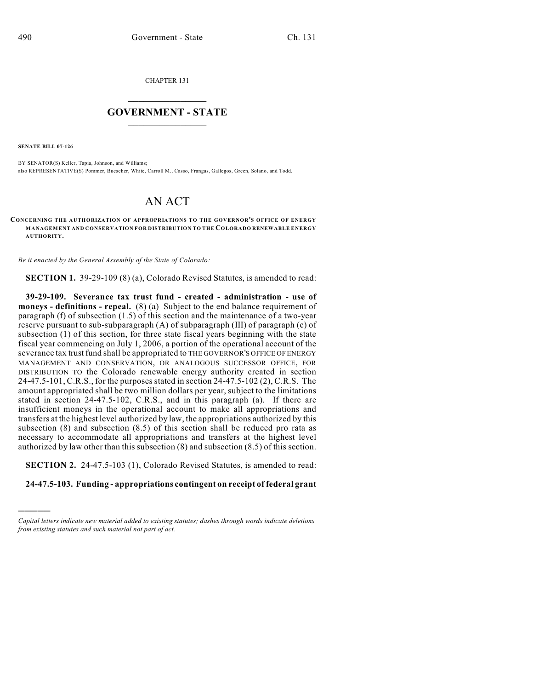CHAPTER 131

## $\mathcal{L}_\text{max}$  . The set of the set of the set of the set of the set of the set of the set of the set of the set of the set of the set of the set of the set of the set of the set of the set of the set of the set of the set **GOVERNMENT - STATE**  $\_$   $\_$   $\_$   $\_$   $\_$   $\_$   $\_$   $\_$   $\_$

**SENATE BILL 07-126**

)))))

BY SENATOR(S) Keller, Tapia, Johnson, and Williams; also REPRESENTATIVE(S) Pommer, Buescher, White, Carroll M., Casso, Frangas, Gallegos, Green, Solano, and Todd.

## AN ACT

**CONCERNING THE AUTHORIZATION OF APPROPRIATIONS TO THE GOVERNOR'S OFFICE OF ENERGY MANAGEMENT AND CONSERVATION FOR DISTRIBUTION TO THE COLORADO RENEWABLE ENERGY AUTHORITY.**

*Be it enacted by the General Assembly of the State of Colorado:*

**SECTION 1.** 39-29-109 (8) (a), Colorado Revised Statutes, is amended to read:

**39-29-109. Severance tax trust fund - created - administration - use of moneys - definitions - repeal.** (8) (a) Subject to the end balance requirement of paragraph (f) of subsection (1.5) of this section and the maintenance of a two-year reserve pursuant to sub-subparagraph (A) of subparagraph (III) of paragraph (c) of subsection (1) of this section, for three state fiscal years beginning with the state fiscal year commencing on July 1, 2006, a portion of the operational account of the severance tax trust fund shall be appropriated to THE GOVERNOR'S OFFICE OF ENERGY MANAGEMENT AND CONSERVATION, OR ANALOGOUS SUCCESSOR OFFICE, FOR DISTRIBUTION TO the Colorado renewable energy authority created in section 24-47.5-101, C.R.S., for the purposes stated in section 24-47.5-102 (2), C.R.S. The amount appropriated shall be two million dollars per year, subject to the limitations stated in section 24-47.5-102, C.R.S., and in this paragraph (a). If there are insufficient moneys in the operational account to make all appropriations and transfers at the highest level authorized by law, the appropriations authorized by this subsection (8) and subsection (8.5) of this section shall be reduced pro rata as necessary to accommodate all appropriations and transfers at the highest level authorized by law other than this subsection (8) and subsection (8.5) of this section.

**SECTION 2.** 24-47.5-103 (1), Colorado Revised Statutes, is amended to read:

## **24-47.5-103. Funding - appropriations contingent on receipt of federal grant**

*Capital letters indicate new material added to existing statutes; dashes through words indicate deletions from existing statutes and such material not part of act.*